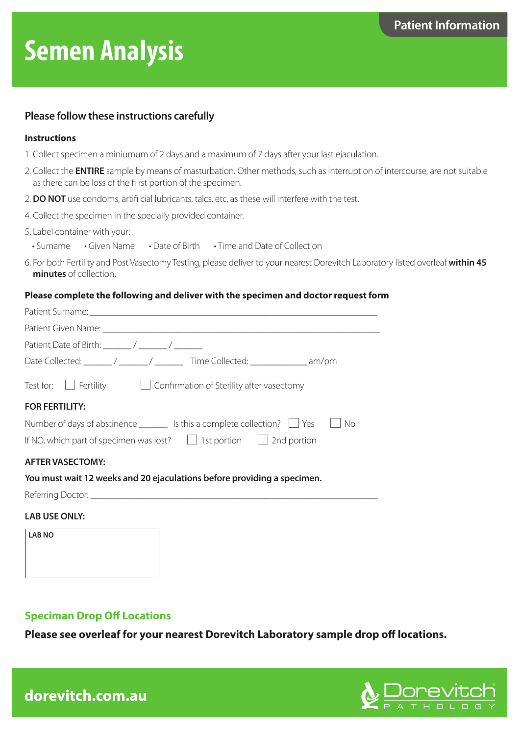# **Semen Analysis**

## **Please follow these instructions carefully**

### **Instructions**

- 1. Collect specimen a miniumum of 2 days and a maximum of 7 days after your last ejaculation.
- 2. Collect the **ENTIRE** sample by means of masturbation. Other methods, such as interruption of intercourse, are not suitable as there can be loss of the fi rst portion of the specimen.
- 2. **DO NOT** use condoms, artifi cial lubricants, talcs, etc, as these will interfere with the test.
- 4. Collect the specimen in the specially provided container.
- 5. Label container with your:
- Surname Given Name Date of Birth Time and Date of Collection
- 6. For both Fertility and Post Vasectomy Testing, please deliver to your nearest Dorevitch Laboratory listed overleaf **within 45 minutes** of collection.

### **Please complete the following and deliver with the specimen and doctor request form**

| Date Collected: _______/ ______/ ________ Time Collected: ______________ am/pm            |
|-------------------------------------------------------------------------------------------|
| Test for: $\Box$ Fertility $\Box$ Confirmation of Sterility after vasectomy               |
| <b>FOR FERTILITY:</b>                                                                     |
| Number of days of abstinence $\_\_\_\_\$ Is this a complete collection? $\_\_\$ Yes<br>No |
| If NO, which part of specimen was lost? $\Box$ 1st portion $\Box$ 2nd portion             |
| <b>AFTER VASECTOMY:</b>                                                                   |
| You must wait 12 weeks and 20 ejaculations before providing a specimen.                   |
|                                                                                           |
| <b>LAB USE ONLY:</b>                                                                      |
| <b>LAB NO</b>                                                                             |
|                                                                                           |
|                                                                                           |
|                                                                                           |

## **Speciman Drop Off Locations**

**Please see overleaf for your nearest Dorevitch Laboratory sample drop off locations.**



dorevitch.com.au